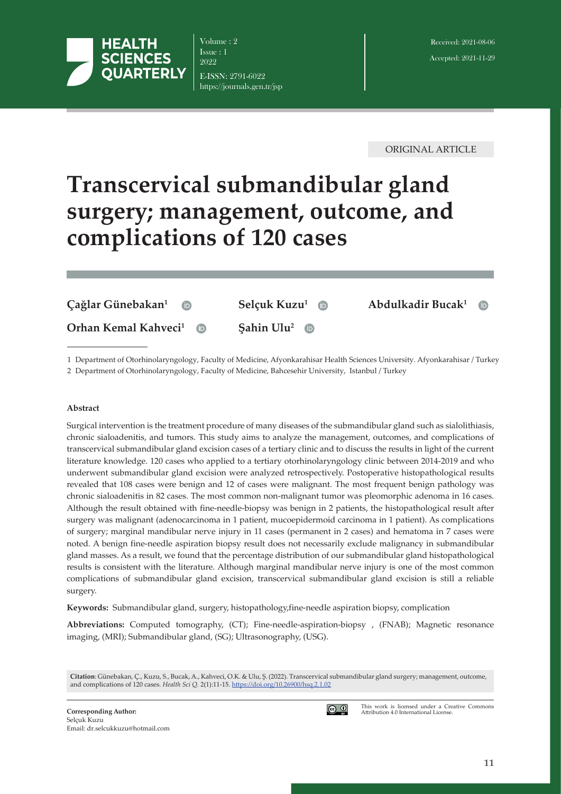

Volume : 2 Issue : 1 2022 E-ISSN: 2791-6022 https://journals.gen.tr/jsp

ORIGINAL ARTICLE

# **Transcervical submandibular gland surgery; management, outcome, and complications of 120 cases**

| Çağlar Günebakan <sup>1</sup><br>$\left( \mathsf{D} \right)$ | Selçuk Kuzu <sup>1</sup> D      | Abdulkadir Bucak <sup>1</sup> $\oplus$ |  |
|--------------------------------------------------------------|---------------------------------|----------------------------------------|--|
| Orhan Kemal Kahveci <sup>1</sup><br>$\Box$                   | Sahin Ulu <sup>2</sup> $\oplus$ |                                        |  |
|                                                              |                                 |                                        |  |

1 Department of Otorhinolaryngology, Faculty of Medicine, Afyonkarahisar Health Sciences University. Afyonkarahisar / Turkey

2 Department of Otorhinolaryngology, Faculty of Medicine, Bahcesehir University, Istanbul / Turkey

#### **Abstract**

Surgical intervention is the treatment procedure of many diseases of the submandibular gland such as sialolithiasis, chronic sialoadenitis, and tumors. This study aims to analyze the management, outcomes, and complications of transcervical submandibular gland excision cases of a tertiary clinic and to discuss the results in light of the current literature knowledge. 120 cases who applied to a tertiary otorhinolaryngology clinic between 2014-2019 and who underwent submandibular gland excision were analyzed retrospectively. Postoperative histopathological results revealed that 108 cases were benign and 12 of cases were malignant. The most frequent benign pathology was chronic sialoadenitis in 82 cases. The most common non-malignant tumor was pleomorphic adenoma in 16 cases. Although the result obtained with fine-needle-biopsy was benign in 2 patients, the histopathological result after surgery was malignant (adenocarcinoma in 1 patient, mucoepidermoid carcinoma in 1 patient). As complications of surgery; marginal mandibular nerve injury in 11 cases (permanent in 2 cases) and hematoma in 7 cases were noted. A benign fine-needle aspiration biopsy result does not necessarily exclude malignancy in submandibular gland masses. As a result, we found that the percentage distribution of our submandibular gland histopathological results is consistent with the literature. Although marginal mandibular nerve injury is one of the most common complications of submandibular gland excision, transcervical submandibular gland excision is still a reliable surgery.

**Keywords:** Submandibular gland, surgery, histopathology,fine-needle aspiration biopsy, complication

**Abbreviations:** Computed tomography, (CT); Fine-needle-aspiration-biopsy , (FNAB); Magnetic resonance imaging, (MRI); Submandibular gland, (SG); Ultrasonography, (USG).

**Citation**: Günebakan, Ç., Kuzu, S., Bucak, A., Kahveci, O.K. & Ulu, Ş. (2022). Transcervical submandibular gland surgery; management, outcome, and complications of 120 cases. *Health Sci Q.* 2(1):11-15. [https://doi.org/1](https://doi.org/)0.26900/hsq.2.1.02



This work is licensed under a Creative Commons Attribution 4.0 International License.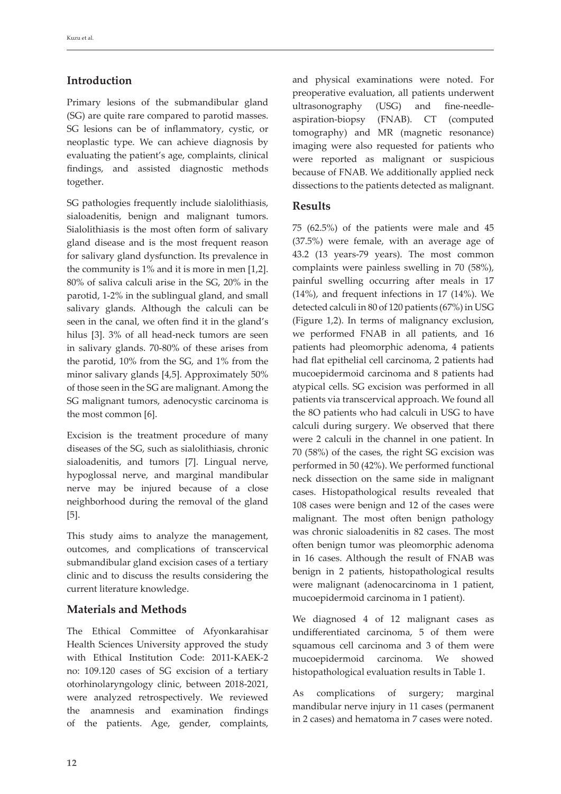# **Introduction**

Primary lesions of the submandibular gland (SG) are quite rare compared to parotid masses. SG lesions can be of inflammatory, cystic, or neoplastic type. We can achieve diagnosis by evaluating the patient's age, complaints, clinical findings, and assisted diagnostic methods together.

SG pathologies frequently include sialolithiasis, sialoadenitis, benign and malignant tumors. Sialolithiasis is the most often form of salivary gland disease and is the most frequent reason for salivary gland dysfunction. Its prevalence in the community is 1% and it is more in men [1,2]. 80% of saliva calculi arise in the SG, 20% in the parotid, 1-2% in the sublingual gland, and small salivary glands. Although the calculi can be seen in the canal, we often find it in the gland's hilus [3]. 3% of all head-neck tumors are seen in salivary glands. 70-80% of these arises from the parotid, 10% from the SG, and 1% from the minor salivary glands [4,5]. Approximately 50% of those seen in the SG are malignant. Among the SG malignant tumors, adenocystic carcinoma is the most common [6].

Excision is the treatment procedure of many diseases of the SG, such as sialolithiasis, chronic sialoadenitis, and tumors [7]. Lingual nerve, hypoglossal nerve, and marginal mandibular nerve may be injured because of a close neighborhood during the removal of the gland [5].

This study aims to analyze the management, outcomes, and complications of transcervical submandibular gland excision cases of a tertiary clinic and to discuss the results considering the current literature knowledge.

## **Materials and Methods**

The Ethical Committee of Afyonkarahisar Health Sciences University approved the study with Ethical Institution Code: 2011-KAEK-2 no: 109.120 cases of SG excision of a tertiary otorhinolaryngology clinic, between 2018-2021, were analyzed retrospectively. We reviewed the anamnesis and examination findings of the patients. Age, gender, complaints,

and physical examinations were noted. For preoperative evaluation, all patients underwent ultrasonography (USG) and fine-needleaspiration-biopsy (FNAB). CT (computed tomography) and MR (magnetic resonance) imaging were also requested for patients who were reported as malignant or suspicious because of FNAB. We additionally applied neck dissections to the patients detected as malignant.

## **Results**

75 (62.5%) of the patients were male and 45 (37.5%) were female, with an average age of 43.2 (13 years-79 years). The most common complaints were painless swelling in 70 (58%), painful swelling occurring after meals in 17 (14%), and frequent infections in 17 (14%). We detected calculi in 80 of 120 patients (67%) in USG (Figure 1,2). In terms of malignancy exclusion, we performed FNAB in all patients, and 16 patients had pleomorphic adenoma, 4 patients had flat epithelial cell carcinoma, 2 patients had mucoepidermoid carcinoma and 8 patients had atypical cells. SG excision was performed in all patients via transcervical approach. We found all the 8O patients who had calculi in USG to have calculi during surgery. We observed that there were 2 calculi in the channel in one patient. In 70 (58%) of the cases, the right SG excision was performed in 50 (42%). We performed functional neck dissection on the same side in malignant cases. Histopathological results revealed that 108 cases were benign and 12 of the cases were malignant. The most often benign pathology was chronic sialoadenitis in 82 cases. The most often benign tumor was pleomorphic adenoma in 16 cases. Although the result of FNAB was benign in 2 patients, histopathological results were malignant (adenocarcinoma in 1 patient, mucoepidermoid carcinoma in 1 patient).

We diagnosed 4 of 12 malignant cases as undifferentiated carcinoma, 5 of them were squamous cell carcinoma and 3 of them were mucoepidermoid carcinoma. We showed histopathological evaluation results in Table 1.

As complications of surgery; marginal mandibular nerve injury in 11 cases (permanent in 2 cases) and hematoma in 7 cases were noted.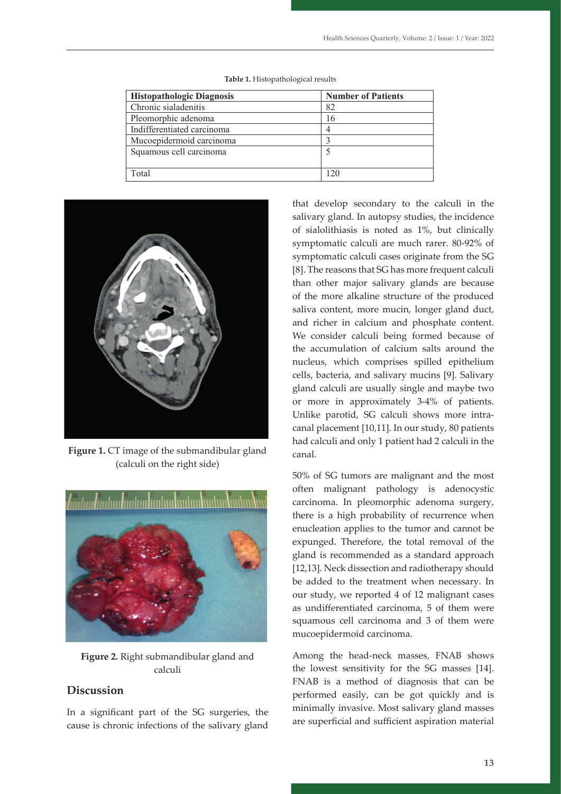| <b>Histopathologic Diagnosis</b> | <b>Number of Patients</b> |
|----------------------------------|---------------------------|
| Chronic sialadenitis             | 82                        |
| Pleomorphic adenoma              | 6                         |
| Indifferentiated carcinoma       |                           |
| Mucoepidermoid carcinoma         |                           |
| Squamous cell carcinoma          |                           |
| Total                            | 20                        |

**Table 1.** Histopathological results



197 **Table 1:** Histopathological results

197 **Table 1:** Histopathological results

**Figure 1.** CT image of the submandibular gland (calculi on the right side)



**Figure 2.** Right submandibular gland and calculi

## **Discussion**

In a significant part of the SG surgeries, the cause is chronic infections of the salivary gland that develop secondary to the calculi in the salivary gland. In autopsy studies, the incidence of sialolithiasis is noted as 1%, but clinically symptomatic calculi are much rarer. 80-92% of symptomatic calculi cases originate from the SG [8]. The reasons that SG has more frequent calculi than other major salivary glands are because of the more alkaline structure of the produced saliva content, more mucin, longer gland duct, and richer in calcium and phosphate content. We consider calculi being formed because of the accumulation of calcium salts around the nucleus, which comprises spilled epithelium cells, bacteria, and salivary mucins [9]. Salivary gland calculi are usually single and maybe two or more in approximately 3-4% of patients. Unlike parotid, SG calculi shows more intracanal placement [10,11]. In our study, 80 patients had calculi and only 1 patient had 2 calculi in the canal.

50% of SG tumors are malignant and the most often malignant pathology is adenocystic carcinoma. In pleomorphic adenoma surgery, there is a high probability of recurrence when enucleation applies to the tumor and cannot be expunged. Therefore, the total removal of the gland is recommended as a standard approach [12,13]. Neck dissection and radiotherapy should be added to the treatment when necessary. In our study, we reported 4 of 12 malignant cases as undifferentiated carcinoma, 5 of them were squamous cell carcinoma and 3 of them were mucoepidermoid carcinoma.

Among the head-neck masses, FNAB shows the lowest sensitivity for the SG masses [14]. FNAB is a method of diagnosis that can be performed easily, can be got quickly and is minimally invasive. Most salivary gland masses are superficial and sufficient aspiration material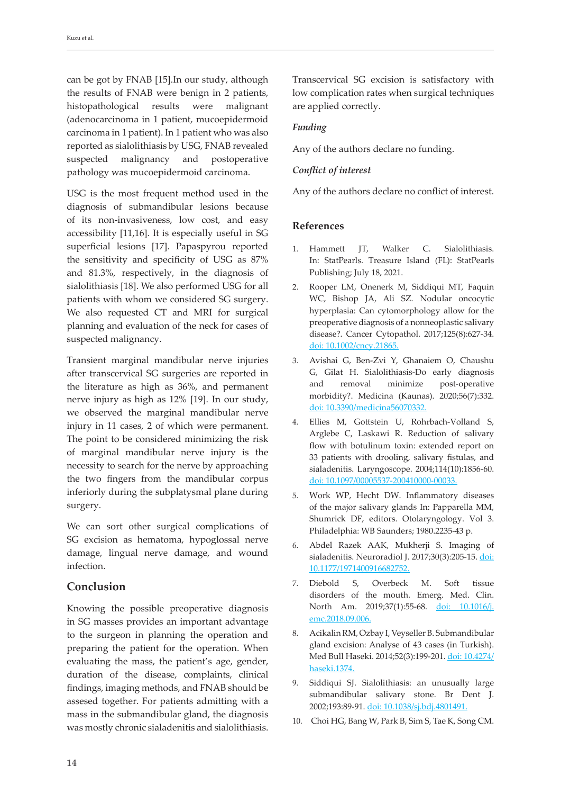can be got by FNAB [15].In our study, although the results of FNAB were benign in 2 patients, histopathological results were malignant (adenocarcinoma in 1 patient, mucoepidermoid carcinoma in 1 patient). In 1 patient who was also reported as sialolithiasis by USG, FNAB revealed suspected malignancy and postoperative pathology was mucoepidermoid carcinoma.

USG is the most frequent method used in the diagnosis of submandibular lesions because of its non-invasiveness, low cost, and easy accessibility [11,16]. It is especially useful in SG superficial lesions [17]. Papaspyrou reported the sensitivity and specificity of USG as 87% and 81.3%, respectively, in the diagnosis of sialolithiasis [18]. We also performed USG for all patients with whom we considered SG surgery. We also requested CT and MRI for surgical planning and evaluation of the neck for cases of suspected malignancy.

Transient marginal mandibular nerve injuries after transcervical SG surgeries are reported in the literature as high as 36%, and permanent nerve injury as high as 12% [19]. In our study, we observed the marginal mandibular nerve injury in 11 cases, 2 of which were permanent. The point to be considered minimizing the risk of marginal mandibular nerve injury is the necessity to search for the nerve by approaching the two fingers from the mandibular corpus inferiorly during the subplatysmal plane during surgery.

We can sort other surgical complications of SG excision as hematoma, hypoglossal nerve damage, lingual nerve damage, and wound infection.

## **Conclusion**

Knowing the possible preoperative diagnosis in SG masses provides an important advantage to the surgeon in planning the operation and preparing the patient for the operation. When evaluating the mass, the patient's age, gender, duration of the disease, complaints, clinical findings, imaging methods, and FNAB should be assesed together. For patients admitting with a mass in the submandibular gland, the diagnosis was mostly chronic sialadenitis and sialolithiasis. Transcervical SG excision is satisfactory with low complication rates when surgical techniques are applied correctly.

#### *Funding*

Any of the authors declare no funding.

## *Conflict of interest*

Any of the authors declare no conflict of interest.

## **References**

- 1. Hammett JT, Walker C. Sialolithiasis. In: StatPearls. Treasure Island (FL): StatPearls Publishing; July 18, 2021.
- 2. Rooper LM, Onenerk M, Siddiqui MT, Faquin WC, Bishop JA, Ali SZ. Nodular oncocytic hyperplasia: Can cytomorphology allow for the preoperative diagnosis of a nonneoplastic salivary disease?. Cancer Cytopathol. 2017;125(8):627-34. doi: [10.1002/cncy.21865](https://doi.org/10.1002/cncy.21865).
- 3. Avishai G, Ben-Zvi Y, Ghanaiem O, Chaushu G, Gilat H. Sialolithiasis-Do early diagnosis and removal minimize post-operative morbidity?. Medicina (Kaunas). 2020;56(7):332. doi: 10.3390/medicina56070332.
- 4. Ellies M, Gottstein U, Rohrbach-Volland S, Arglebe C, Laskawi R. Reduction of salivary flow with botulinum toxin: extended report on 33 patients with drooling, salivary fistulas, and sialadenitis. Laryngoscope. 2004;114(10):1856-60. doi: 10.1097/00005537-200410000-00033.
- 5. Work WP, Hecht DW. Inflammatory diseases of the major salivary glands In: Papparella MM, Shumrick DF, editors. Otolaryngology. Vol 3. Philadelphia: WB Saunders; 1980.2235-43 p.
- 6. Abdel Razek AAK, Mukherji S. Imaging of sialadenitis. Neuroradiol J. 2017;30(3):205-15. doi: 10.1177/1971400916682752.
- 7. Diebold S, Overbeck M. Soft tissue disorders of the mouth. Emerg. Med. Clin. North Am. 2019;37(1):55-68. doi: 10.1016/j. emc.2018.09.006.
- 8. Acikalin RM, Ozbay I, Veyseller B. Submandibular gland excision: Analyse of 43 cases (in Turkish). Med Bull Haseki. 2014;52(3):199-201. doi: 10.4274/ haseki.1374.
- 9. Siddiqui SJ. Sialolithiasis: an unusually large submandibular salivary stone. Br Dent J. 2002;193:89-91. doi: 10.1038/sj.bdj.4801491.
- 10. Choi HG, Bang W, Park B, Sim S, Tae K, Song CM.